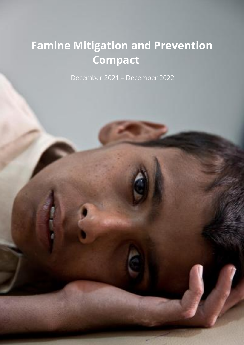# **Famine Mitigation and Prevention Compact**

December 2021 – December 2022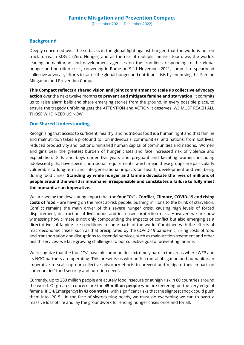#### **Background**

Deeply concerned over the setbacks in the global fight against hunger, that the world is not on track to reach SDG 2 (Zero Hunger) and as the risk of multiple famines loom, we, the world's leading humanitarian and development agencies on the frontlines responding to the global hunger and nutrition crisis, convening in Rome on 9-11 November 2021, commit to spearhead collective advocacy efforts to tackle the global hunger and nutrition crisis by endorsing this Famine Mitigation and Prevention Compact.

**This Compact reflects a shared vision and joint commitment to scale up collective advocacy action** over the next twelve months **to prevent and mitigate famine and starvation**. It commits us to raise alarm bells and share emerging stories from the ground, in every possible place, to ensure the tragedy unfolding gets the ATTENTION and ACTION it deserves. WE MUST REACH ALL THOSE WHO NEED US NOW.

#### **Our Shared Understanding**

Recognising that access to sufficient, healthy, and nutritious food is a human right and that famine and malnutrition takes a profound toll on individuals, communities, and nations; from lost lives, reduced productivity and lost or diminished human capital of communities and nations. Women and girls bear the greatest burden of hunger crises and face increased risk of violence and exploitation. Girls and boys under five years and pregnant and lactating women, including adolescent girls, have specific nutritional requirements, which mean these groups are particularly vulnerable to long-term and intergenerational impacts on health, development and well-being during food crises. **Standing by while hunger and famine devastate the lives of millions of people around the world is inhumane, irresponsible and constitutes a failure to fully meet the humanitarian imperative.** 

We are seeing the devastating impact that the **four "Cs" - Conflict, Climate, COVID-19 and rising costs of food** – are having on the most at-risk people, pushing millions to the brink of starvation. Conflict remains the main driver of this severe hunger crisis, causing high levels of forced displacement, destruction of livelihoods and increased protection risks. However, we are now witnessing how climate is not only compounding the impacts of conflict but also emerging as a direct driver of famine-like conditions in some parts of the world. Combined with the effects of macroeconomic crises- such as that precipitated by the COVID-19 pandemic, rising costs of food and transportation and disruptions to essential services, such as malnutrition treatment and other health services- we face growing challenges to our collective goal of preventing famine.

We recognize that the four "Cs" have hit communities extremely hard in the areas where WFP and its NGO partners are operating. This presents us with both a moral obligation and humanitarian imperative to scale up our collective advocacy efforts to prevent and mitigate their impact on communities' food security and nutrition needs.

Currently, up to 283 million people are acutely food insecure or at high risk in 80 countries around the world. Of greatest concern are the **45 million people** who are teetering on the very edge of famine (IPC 4/Emergency) **in 43 countries,** with significant risks that the slightest shock could push them into IPC 5. In the face of skyrocketing needs, we must do everything we can to avert a massive loss of life and lay the groundwork for ending hunger crises once and for all.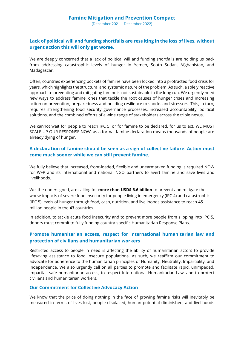#### **Lack of political will and funding shortfalls are resulting in the loss of lives, without urgent action this will only get worse.**

We are deeply concerned that a lack of political will and funding shortfalls are holding us back from addressing catastrophic levels of hunger in Yemen, South Sudan, Afghanistan, and Madagascar.

Often, countries experiencing pockets of famine have been locked into a protracted food crisis for years, which highlights the structural and systemic nature of the problem. As such, a solely reactive approach to preventing and mitigating famine is not sustainable in the long run. We urgently need new ways to address famine, ones that tackle the root causes of hunger crises and increasing action on prevention, preparedness and building resilience to shocks and stressors. This, in turn, requires strengthening food security governance processes, increased accountability, political solutions, and the combined efforts of a wide range of stakeholders across the triple nexus.

We cannot wait for people to reach IPC 5, or for famine to be declared, for us to act. WE MUST SCALE UP OUR RESPONSE NOW, as a formal famine declaration means thousands of people are already dying of hunger.

#### **A declaration of famine should be seen as a sign of collective failure. Action must come much sooner while we can still prevent famine.**

We fully believe that increased, front-loaded, flexible and unearmarked funding is required NOW for WFP and its international and national NGO partners to avert famine and save lives and livelihoods.

We, the undersigned, are calling for **more than USD\$ 6.6 billion** to prevent and mitigate the worse impacts of severe food insecurity for people living in emergency (IPC 4) and catastrophic (IPC 5) levels of hunger through food, cash, nutrition, and livelihoods assistance to reach **45** million people in the **43** countries.

In addition, to tackle acute food insecurity and to prevent more people from slipping into IPC 5, donors must commit to fully funding country-specific Humanitarian Response Plans.

### **Promote humanitarian access, respect for international humanitarian law and protection of civilians and humanitarian workers**

Restricted access to people in need is affecting the ability of humanitarian actors to provide lifesaving assistance to food insecure populations. As such, we reaffirm our commitment to advocate for adherence to the humanitarian principles of Humanity, Neutrality, Impartiality, and Independence. We also urgently call on all parties to promote and facilitate rapid, unimpeded, impartial, safe humanitarian access, to respect International Humanitarian Law, and to protect civilians and humanitarian workers.

#### **Our Commitment for Collective Advocacy Action**

We know that the price of doing nothing in the face of growing famine risks will inevitably be measured in terms of lives lost, people displaced, human potential diminished, and livelihoods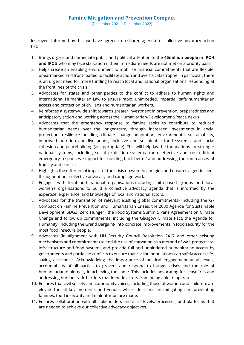(December 2021 – December 2022)

destroyed. Informed by this, we have agreed to a shared agenda for collective advocacy action that:

- 1. Brings urgent and immediate public and political attention to the **45million people in IPC 4 and IPC 5** who may face starvation if their immediate needs are not met on a priority basis.
- 2. Helps create an enabling environment to mobilise financial commitments that are flexible, unearmarked and front-loaded to facilitate action and avert a catastrophe. In particular, there is an urgent need for more funding to reach local and national organisations responding at the frontlines of the crisis.
- 3. Advocates for states and other parties to the conflict to adhere to human rights and International Humanitarian Law to ensure rapid, unimpeded, impartial, safe humanitarian access and protection of civilians and humanitarian workers.
- 4. Reinforces a system-wide shift towards greater investment in prevention, preparedness and anticipatory action and working across the Humanitarian-Development-Peace nexus.
- 5. Advocates that the emergency response to famine seeks to contribute to reduced humanitarian needs over the longer-term, through increased investments in social protection, resilience building, climate change adaptation, environmental sustainability, improved nutrition and livelihoods, inclusive and sustainable food systems, and social cohesion and peacebuilding (as appropriate). This will help lay the foundations for stronger national systems, including social protection systems, more effective and cost-efficient emergency responses, support for 'building back better' and addressing the root causes of fragility and conflict.
- 6. Highlights the differential impact of the crisis on women and girls and ensures a gender-lens throughout our collective advocacy and campaign work.
- 7. Engages with local and national organisations-including faith-based groups and local women's organisations to build a collective advocacy agenda that is informed by the expertise, experience, and knowledge of local and national actors.
- 8. Advocates for the translation of relevant existing global commitments- including the G7 Compact on Famine Prevention and Humanitarian Crises, the 2030 Agenda for Sustainable Development, SDG2 (Zero Hunger), the Food Systems Summit, Paris Agreement on Climate Change and follow up commitments, including the Glasgow Climate Pact, the Agenda for Humanity (including the Grand Bargain)- into concrete improvements in food security for the most food insecure people.
- 9. Advocates (in alignment with UN Security Council Resolution 2417 and other existing mechanisms and commitments) to end the use of starvation as a method of war, protect vital infrastructure and food systems and provide full and unhindered humanitarian access by governments and parties to conflicts to ensure that civilian populations can safely access lifesaving assistance. Acknowledging the importance of political engagement at all levels, accountability of all parties to prevent and respond to hunger crises and the role of humanitarian diplomacy in achieving the same. This includes advocating for ceasefires and addressing bureaucratic barriers that impede actors from being able to operate**.**
- 10. Ensures that civil society and community voices, including those of women and children, are elevated in all key moments and venues where decisions on mitigating and preventing famines, food insecurity and malnutrition are made.
- 11. Ensures collaboration with all stakeholders and at all levels, processes, and platforms that are needed to achieve our collective advocacy objectives.